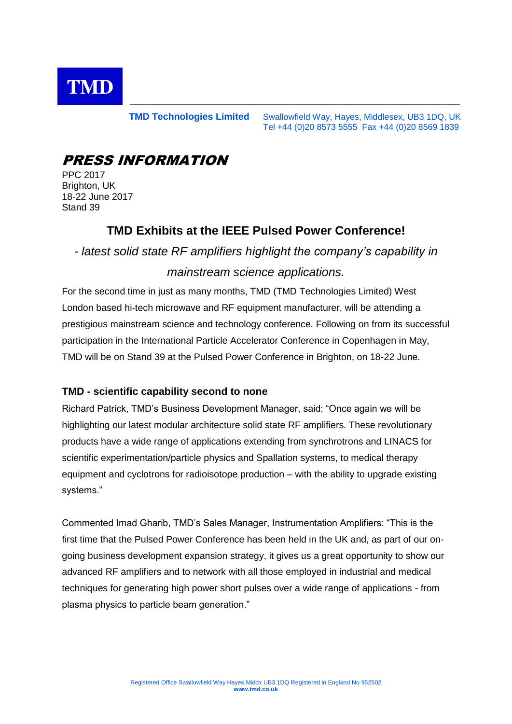

**TMD Technologies Limited** Swallowfield Way, Hayes, Middlesex, UB3 1DQ, UK Tel +44 (0)20 8573 5555 Fax +44 (0)20 8569 1839

\_\_\_\_\_\_\_\_\_\_\_\_\_\_\_\_\_\_\_\_\_\_\_\_\_\_\_\_\_\_\_\_\_\_\_\_\_\_\_\_\_\_\_\_\_\_\_\_\_\_\_\_\_\_\_\_\_\_\_\_\_\_\_\_\_\_\_\_\_

# PRESS INFORMATION

PPC 2017 Brighton, UK 18-22 June 2017 Stand 39

### **TMD Exhibits at the IEEE Pulsed Power Conference!**

*- latest solid state RF amplifiers highlight the company's capability in mainstream science applications.*

For the second time in just as many months, TMD (TMD Technologies Limited) West London based hi-tech microwave and RF equipment manufacturer, will be attending a prestigious mainstream science and technology conference. Following on from its successful participation in the International Particle Accelerator Conference in Copenhagen in May, TMD will be on Stand 39 at the Pulsed Power Conference in Brighton, on 18-22 June.

### **TMD - scientific capability second to none**

Richard Patrick, TMD's Business Development Manager, said: "Once again we will be highlighting our latest modular architecture solid state RF amplifiers. These revolutionary products have a wide range of applications extending from synchrotrons and LINACS for scientific experimentation/particle physics and Spallation systems, to medical therapy equipment and cyclotrons for radioisotope production – with the ability to upgrade existing systems."

Commented Imad Gharib, TMD's Sales Manager, Instrumentation Amplifiers: "This is the first time that the Pulsed Power Conference has been held in the UK and, as part of our ongoing business development expansion strategy, it gives us a great opportunity to show our advanced RF amplifiers and to network with all those employed in industrial and medical techniques for generating high power short pulses over a wide range of applications - from plasma physics to particle beam generation."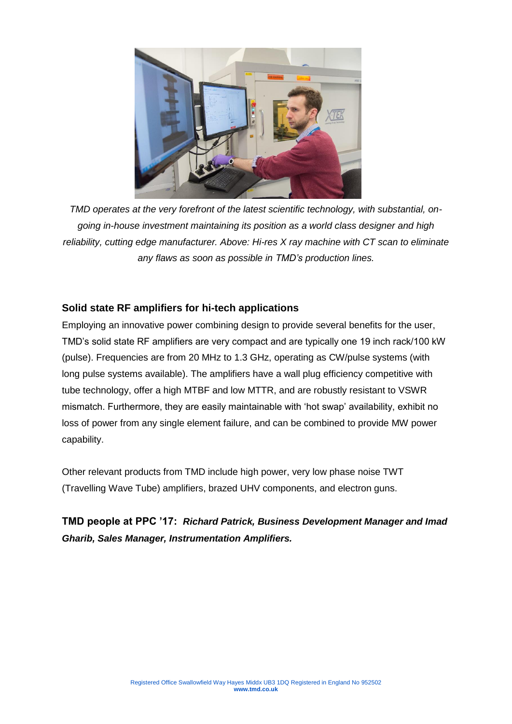

*TMD operates at the very forefront of the latest scientific technology, with substantial, ongoing in-house investment maintaining its position as a world class designer and high reliability, cutting edge manufacturer. Above: Hi-res X ray machine with CT scan to eliminate any flaws as soon as possible in TMD's production lines.*

### **Solid state RF amplifiers for hi-tech applications**

Employing an innovative power combining design to provide several benefits for the user, TMD's solid state RF amplifiers are very compact and are typically one 19 inch rack/100 kW (pulse). Frequencies are from 20 MHz to 1.3 GHz, operating as CW/pulse systems (with long pulse systems available). The amplifiers have a wall plug efficiency competitive with tube technology, offer a high MTBF and low MTTR, and are robustly resistant to VSWR mismatch. Furthermore, they are easily maintainable with 'hot swap' availability, exhibit no loss of power from any single element failure, and can be combined to provide MW power capability.

Other relevant products from TMD include high power, very low phase noise TWT (Travelling Wave Tube) amplifiers, brazed UHV components, and electron guns.

**TMD people at PPC '17:** *Richard Patrick, Business Development Manager and Imad Gharib, Sales Manager, Instrumentation Amplifiers.*